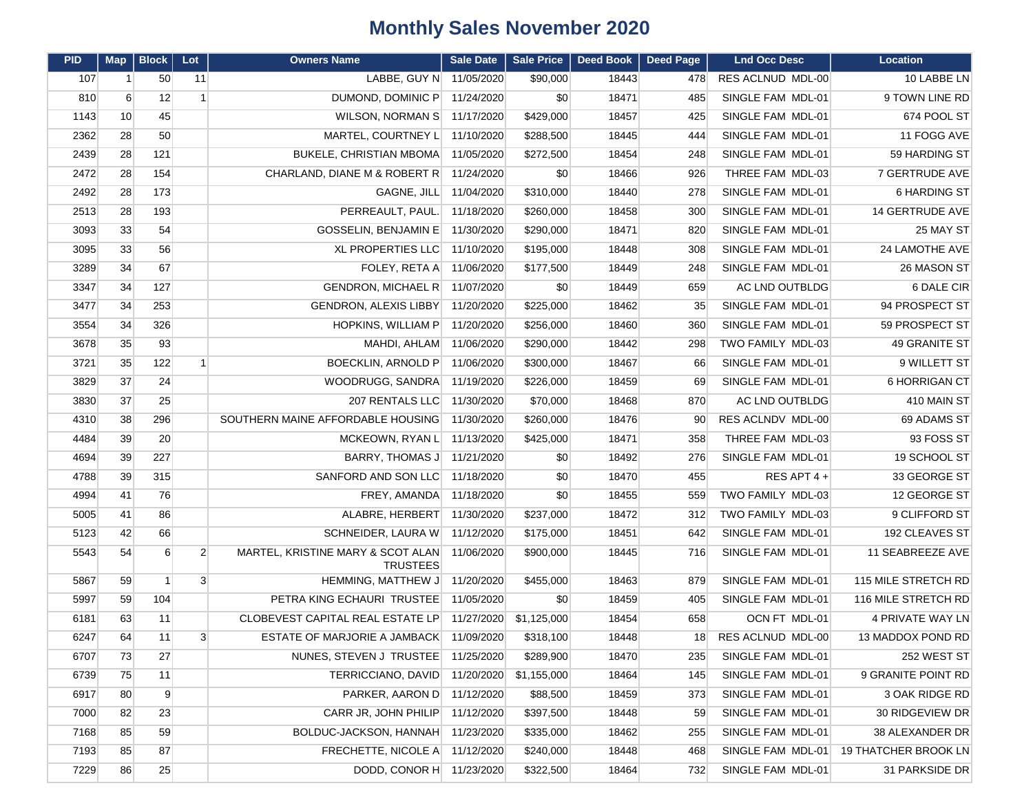## **Monthly Sales November 2020**

| <b>PID</b> | <b>Map</b> | <b>Block</b>     | Lot            | <b>Owners Name</b>                                   | <b>Sale Date</b> | <b>Sale Price</b> | Deed Book | Deed Page | <b>Lnd Occ Desc</b>  | Location             |
|------------|------------|------------------|----------------|------------------------------------------------------|------------------|-------------------|-----------|-----------|----------------------|----------------------|
| 107        | -11        | 50               | 11             | LABBE, GUY N                                         | 11/05/2020       | \$90,000          | 18443     | 478       | RES ACLNUD MDL-00    | 10 LABBE LN          |
| 810        | 6          | 12               | $\mathbf{1}$   | DUMOND, DOMINIC P                                    | 11/24/2020       | \$0               | 18471     | 485       | SINGLE FAM MDL-01    | 9 TOWN LINE RD       |
| 1143       | 10         | 45               |                | WILSON, NORMAN S                                     | 11/17/2020       | \$429,000         | 18457     | 425       | SINGLE FAM MDL-01    | 674 POOL ST          |
| 2362       | 28         | 50               |                | MARTEL, COURTNEY L                                   | 11/10/2020       | \$288,500         | 18445     | 444       | SINGLE FAM MDL-01    | 11 FOGG AVE          |
| 2439       | 28         | 121              |                | BUKELE, CHRISTIAN MBOMA                              | 11/05/2020       | \$272,500         | 18454     | 248       | SINGLE FAM MDL-01    | 59 HARDING ST        |
| 2472       | 28         | 154              |                | CHARLAND, DIANE M & ROBERT R                         | 11/24/2020       | \$0               | 18466     | 926       | THREE FAM MDL-03     | 7 GERTRUDE AVE       |
| 2492       | 28         | 173              |                | GAGNE, JILL                                          | 11/04/2020       | \$310,000         | 18440     | 278       | SINGLE FAM MDL-01    | <b>6 HARDING ST</b>  |
| 2513       | 28         | 193              |                | PERREAULT, PAUL.                                     | 11/18/2020       | \$260,000         | 18458     | 300       | SINGLE FAM MDL-01    | 14 GERTRUDE AVE      |
| 3093       | 33         | 54               |                | GOSSELIN, BENJAMIN E                                 | 11/30/2020       | \$290,000         | 18471     | 820       | SINGLE FAM MDL-01    | 25 MAY ST            |
| 3095       | 33         | 56               |                | XL PROPERTIES LLC                                    | 11/10/2020       | \$195,000         | 18448     | 308       | SINGLE FAM MDL-01    | 24 LAMOTHE AVE       |
| 3289       | 34         | 67               |                | FOLEY, RETA A                                        | 11/06/2020       | \$177,500         | 18449     | 248       | SINGLE FAM MDL-01    | 26 MASON ST          |
| 3347       | 34         | 127              |                | <b>GENDRON, MICHAEL R</b>                            | 11/07/2020       | \$0               | 18449     | 659       | AC LND OUTBLDG       | 6 DALE CIR           |
| 3477       | 34         | 253              |                | GENDRON, ALEXIS LIBBY                                | 11/20/2020       | \$225,000         | 18462     | 35        | SINGLE FAM MDL-01    | 94 PROSPECT ST       |
| 3554       | 34         | 326              |                | HOPKINS, WILLIAM P                                   | 11/20/2020       | \$256,000         | 18460     | 360       | SINGLE FAM MDL-01    | 59 PROSPECT ST       |
| 3678       | 35         | 93               |                | MAHDI, AHLAM                                         | 11/06/2020       | \$290,000         | 18442     | 298       | TWO FAMILY MDL-03    | 49 GRANITE ST        |
| 3721       | 35         | 122              | $\mathbf{1}$   | <b>BOECKLIN, ARNOLD P</b>                            | 11/06/2020       | \$300,000         | 18467     | 66        | SINGLE FAM MDL-01    | 9 WILLETT ST         |
| 3829       | 37         | 24               |                | WOODRUGG, SANDRA                                     | 11/19/2020       | \$226,000         | 18459     | 69        | SINGLE FAM MDL-01    | 6 HORRIGAN CT        |
| 3830       | 37         | 25               |                | 207 RENTALS LLC                                      | 11/30/2020       | \$70,000          | 18468     | 870       | AC LND OUTBLDG       | 410 MAIN ST          |
| 4310       | 38         | 296              |                | SOUTHERN MAINE AFFORDABLE HOUSING                    | 11/30/2020       | \$260,000         | 18476     | 90        | RES ACLNDV MDL-00    | 69 ADAMS ST          |
| 4484       | 39         | 20               |                | MCKEOWN, RYAN L                                      | 11/13/2020       | \$425,000         | 18471     | 358       | THREE FAM MDL-03     | 93 FOSS ST           |
| 4694       | 39         | 227              |                | BARRY, THOMAS J                                      | 11/21/2020       | \$0               | 18492     | 276       | SINGLE FAM MDL-01    | 19 SCHOOL ST         |
| 4788       | 39         | 315              |                | SANFORD AND SON LLC                                  | 11/18/2020       | \$0               | 18470     | 455       | RES APT 4+           | 33 GEORGE ST         |
| 4994       | 41         | 76               |                | FREY, AMANDA                                         | 11/18/2020       | \$0               | 18455     | 559       | TWO FAMILY MDL-03    | 12 GEORGE ST         |
| 5005       | 41         | 86               |                | ALABRE, HERBERT                                      | 11/30/2020       | \$237,000         | 18472     | 312       | TWO FAMILY MDL-03    | 9 CLIFFORD ST        |
| 5123       | 42         | 66               |                | SCHNEIDER, LAURA W                                   | 11/12/2020       | \$175,000         | 18451     | 642       | SINGLE FAM MDL-01    | 192 CLEAVES ST       |
| 5543       | 54         | $6 \overline{6}$ | 2 <sup>1</sup> | MARTEL, KRISTINE MARY & SCOT ALAN<br><b>TRUSTEES</b> | 11/06/2020       | \$900,000         | 18445     | 716       | SINGLE FAM MDL-01    | 11 SEABREEZE AVE     |
| 5867       | 59         | $\vert$ 1        | $\mathbf{3}$   | HEMMING, MATTHEW J                                   | 11/20/2020       | \$455,000         | 18463     | 879       | SINGLE FAM MDL-01    | 115 MILE STRETCH RD  |
| 5997       | 59         | 104              |                | PETRA KING ECHAURI TRUSTEE                           | 11/05/2020       | \$0               | 18459     | 405       | SINGLE FAM MDL-01    | 116 MILE STRETCH RD  |
| 6181       | 63         | 11               |                | CLOBEVEST CAPITAL REAL ESTATE LP                     | 11/27/2020       | \$1,125,000       | 18454     | 658       | OCN FT MDL-01        | 4 PRIVATE WAY LN     |
| 6247       | 64         | 11               |                | ESTATE OF MARJORIE A JAMBACK 11/09/2020              |                  | \$318,100         | 18448     |           | 18 RES ACLNUD MDL-00 | 13 MADDOX POND RD    |
| 6707       | 73         | 27               |                | NUNES, STEVEN J TRUSTEE                              | 11/25/2020       | \$289,900         | 18470     | 235       | SINGLE FAM MDL-01    | 252 WEST ST          |
| 6739       | 75         | 11               |                | TERRICCIANO, DAVID                                   | 11/20/2020       | \$1,155,000       | 18464     | 145       | SINGLE FAM MDL-01    | 9 GRANITE POINT RD   |
| 6917       | 80         | 9                |                | PARKER, AARON D                                      | 11/12/2020       | \$88,500          | 18459     | 373       | SINGLE FAM MDL-01    | 3 OAK RIDGE RD       |
| 7000       | 82         | 23               |                | CARR JR, JOHN PHILIP                                 | 11/12/2020       | \$397,500         | 18448     | 59        | SINGLE FAM MDL-01    | 30 RIDGEVIEW DR      |
| 7168       | 85         | 59               |                | BOLDUC-JACKSON, HANNAH                               | 11/23/2020       | \$335,000         | 18462     | 255       | SINGLE FAM MDL-01    | 38 ALEXANDER DR      |
| 7193       | 85         | 87               |                | FRECHETTE, NICOLE A                                  | 11/12/2020       | \$240,000         | 18448     | 468       | SINGLE FAM MDL-01    | 19 THATCHER BROOK LN |
| 7229       | 86         | 25               |                | DODD, CONOR H                                        | 11/23/2020       | \$322,500         | 18464     | 732       | SINGLE FAM MDL-01    | 31 PARKSIDE DR       |